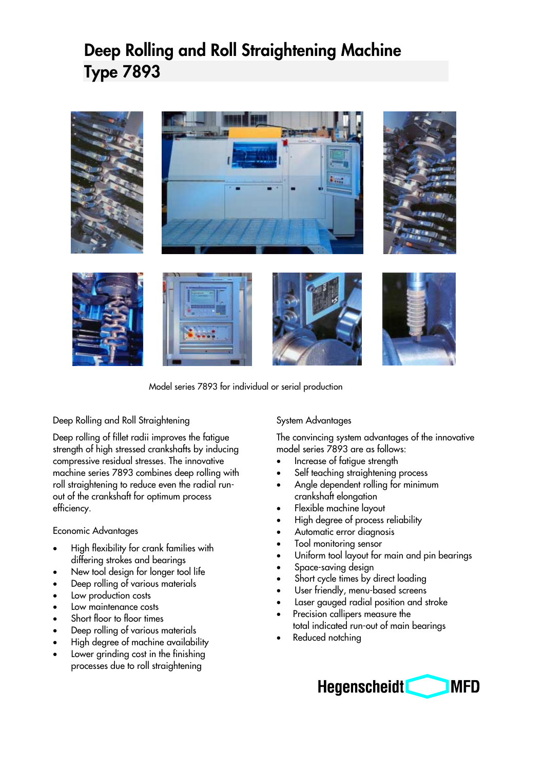## **Deep Rolling and Roll Straightening Machine Type 7893**



Model series 7893 for individual or serial production

Deep Rolling and Roll Straightening

Deep rolling of fillet radii improves the fatigue strength of high stressed crankshafts by inducing compressive residual stresses. The innovative machine series 7893 combines deep rolling with roll straightening to reduce even the radial runout of the crankshaft for optimum process efficiency.

#### Economic Advantages

- High flexibility for crank families with differing strokes and bearings
- New tool design for longer tool life
- Deep rolling of various materials
- Low production costs
- Low maintenance costs
- Short floor to floor times
- Deep rolling of various materials
- High degree of machine availability
- Lower grinding cost in the finishing processes due to roll straightening

#### System Advantages

The convincing system advantages of the innovative model series 7893 are as follows:

- Increase of fatigue strength
- Self teaching straightening process
- Angle dependent rolling for minimum crankshaft elongation
- Flexible machine layout
- High degree of process reliability
- Automatic error diagnosis
- Tool monitoring sensor
- Uniform tool layout for main and pin bearings
- Space-saving design
- Short cycle times by direct loading
- User friendly, menu-based screens
- Laser gauged radial position and stroke
- Precision callipers measure the total indicated run-out of main bearings
- Reduced notching